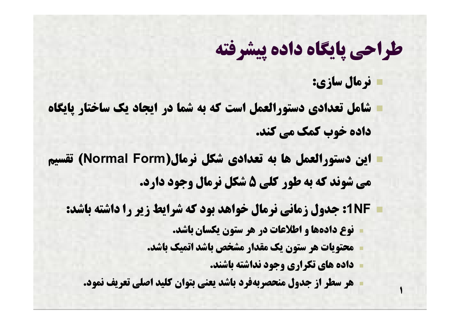**نرمال سازي:**

**1**

- **شامل تعدادي دستورالعمل است که به شما در ایجاد یک ساختار پایگاه داده خوب کمک می کند.**
- **این دستورالعمل ها به تعدادي شکل نرمال(Form Normal (تقسیم می شوند که به طور کلی 5 شکل نرمال وجود دارد.**
	- **NF:1 جدول زمانی نرمال خواهد بود که شرایط زیر را داشته باشد:**
		- **نوع داده ها و اطلاعات در هر ستون یکسان باشد.**
		- **محتویات هر ستون یک مقدار مشخص باشد اتمیک باشد.**
			- **داده هاي تکراري وجود نداشته باشند.**
		- **هر سطر از جدول منحصربه فرد باشد یعنی بتوان کلید اصلی تعریف نمود.**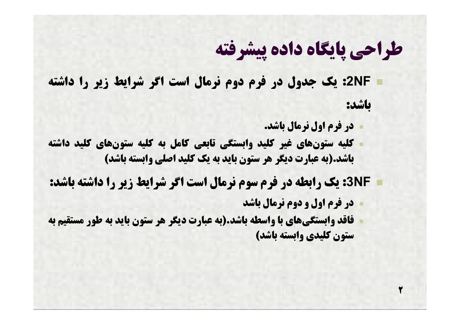**NF:2 یک جدول در فرم دوم نرمال است اگر شرایط زیر را داشته باشد:**

- **در فرم اول نرمال باشد.**
- **کلیه ستون هاي غیر کلید وابستگی تابعی کامل به کلیه ستون هاي کلید داشته باشد.(به عبارت دیگر هر ستون باید به یک کلید اصلی وابسته باشد)**

**NF:3 یک رابطه در فرم سوم نرمال است اگر شرایط زیر را داشته باشد:**

**در فرم اول و دوم نرمال باشد**

**2**

 **فاقد وابستگی هاي با واسطه باشد.(به عبارت دیگر هر ستون باید به طور مستقیم به ستون کلیدي وابسته باشد)**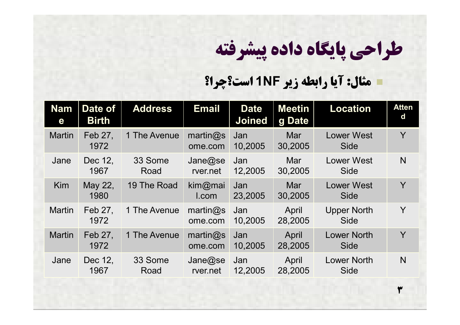**3**

#### **مثال: آیا رابطه زیر NF1 است؟چرا؟**

| <b>Nam</b><br>e | Date of<br><b>Birth</b> | <b>Address</b>  | <b>Email</b>                   | <b>Date</b><br><b>Joined</b> | <b>Meetin</b><br>g Date | <b>Location</b>                   | <b>Atten</b><br>d |
|-----------------|-------------------------|-----------------|--------------------------------|------------------------------|-------------------------|-----------------------------------|-------------------|
| <b>Martin</b>   | Feb 27,<br>1972         | 1 The Avenue    | martin $@s$<br>ome.com         | Jan<br>10,2005               | Mar<br>30,2005          | <b>Lower West</b><br><b>Side</b>  | Y                 |
| Jane            | Dec 12,<br>1967         | 33 Some<br>Road | Jane@se<br>rver.net            | Jan<br>12,2005               | Mar<br>30,2005          | <b>Lower West</b><br><b>Side</b>  | N <sub>1</sub>    |
| Kim             | May 22,<br>1980         | 19 The Road     | kim@mai<br>I.com               | Jan<br>23,2005               | Mar<br>30,2005          | <b>Lower West</b><br><b>Side</b>  | Y                 |
| <b>Martin</b>   | Feb 27,<br>1972         | 1 The Avenue    | $\mathsf{martin@s}$<br>ome.com | Jan<br>10,2005               | April<br>28,2005        | <b>Upper North</b><br><b>Side</b> | Y                 |
| <b>Martin</b>   | Feb 27,<br>1972         | 1 The Avenue    | martin@s<br>ome.com            | Jan<br>10,2005               | April<br>28,2005        | <b>Lower North</b><br><b>Side</b> | Y                 |
| Jane            | Dec 12,<br>1967         | 33 Some<br>Road | Jane@se<br>rver.net            | Jan<br>12,2005               | April<br>28,2005        | <b>Lower North</b><br>Side        | N                 |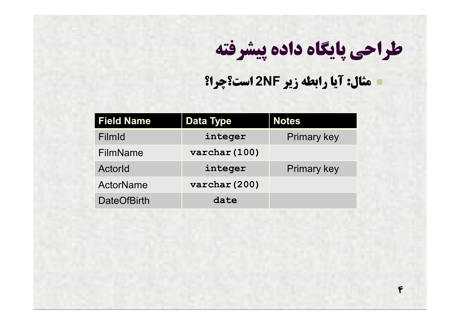**4**

**مثال: آیا رابطه زیر NF2 است؟چرا؟**

| <b>Field Name</b>  | <b>Data Type</b>        | <b>Notes</b>       |
|--------------------|-------------------------|--------------------|
| FilmId             | integer                 | <b>Primary key</b> |
| <b>FilmName</b>    | $\texttt{varchar}(100)$ |                    |
| Actorld            | integer                 | <b>Primary key</b> |
| ActorName          | varchar (200)           |                    |
| <b>DateOfBirth</b> | date                    |                    |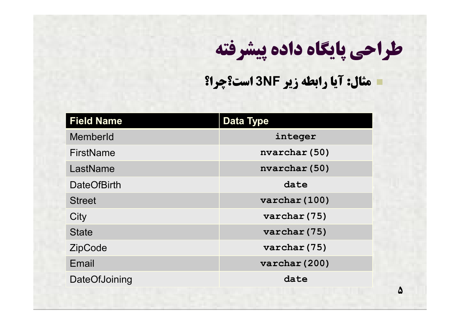**5**

#### **مثال: آیا رابطه زیر NF3 است؟چرا؟**

| <b>Field Name</b>  | <b>Data Type</b>        |  |
|--------------------|-------------------------|--|
| MemberId           | integer                 |  |
| FirstName          | nvarchar (50)           |  |
| LastName           | nvarchar (50)           |  |
| <b>DateOfBirth</b> | date                    |  |
| <b>Street</b>      | $\texttt{varchar}(100)$ |  |
| City               | varchar (75)            |  |
| <b>State</b>       | varchar (75)            |  |
| <b>ZipCode</b>     | varchar (75)            |  |
| Email              | varchar (200)           |  |
| DateOfJoining      | date                    |  |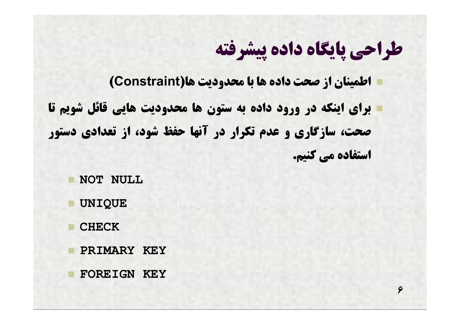**6**

 **اطمینان از صحت داده ها با محدودیت ها(Constraint( براي اینکه در ورود داده به ستون ها محدودیت هایی قائل شویم تا صحت، سازگاري و عدم تکرار در آنها حفظ شود، از تعدادي دستور استفاده می کنیم.**

**NOT NULL**

**UNIQUE**

**CHECK**

**PRIMARY KEY**

**FOREIGN KEY**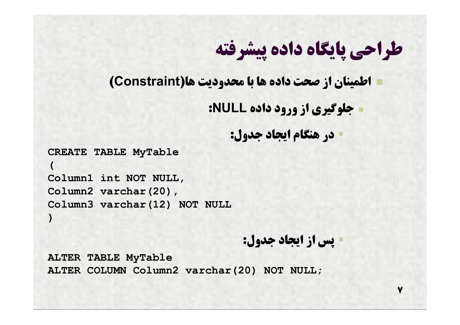**اطمینان از صحت داده ها با محدودیت ها(Constraint(**

**جلوگیري از ورود داده NULL:**

```
 در هنگام ایجاد جدول:
```

```
CREATE TABLE MyTable
(
Column1 int NOT NULL,
Column2 varchar(20),
Column3 varchar(12) NOT NULL
)
```
#### **پس از ایجاد جدول:**

**7**

**ALTER TABLE MyTable ALTER COLUMN Column2 varchar(20) NOT NULL;**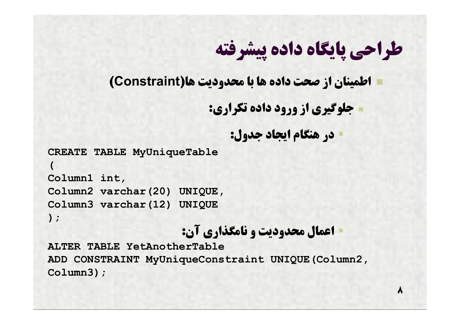**اطمینان از صحت داده ها با محدودیت ها(Constraint(**

```
 جلوگیري از ورود داده تکراري:
```

```
 در هنگام ایجاد جدول:
```

```
CREATE TABLE MyUniqueTable
(
Column1 int,
Column2 varchar(20) UNIQUE,
Column3 varchar(12) UNIQUE
);
```
#### **اعمال محدودیت و نامگذاري آن:**

**ALTER TABLE YetAnotherTable ADD CONSTRAINT MyUniqueConstraint UNIQUE(Column2, Column3);**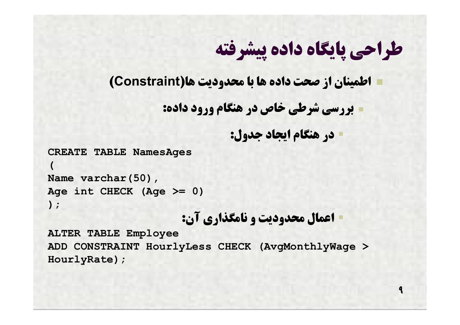**اطمینان از صحت داده ها با محدودیت ها(Constraint(**

**بررسی شرطی خاص در هنگام ورود داده:**

```
 در هنگام ایجاد جدول:
```

```
CREATE TABLE NamesAges
```

```
(
Name varchar(50),
Age int CHECK (Age >= 0)
);
```

```
 اعمال محدودیت و نامگذاري آن:
```
**ALTER TABLE Employee ADD CONSTRAINT HourlyLess CHECK (AvgMonthlyWage > HourlyRate);**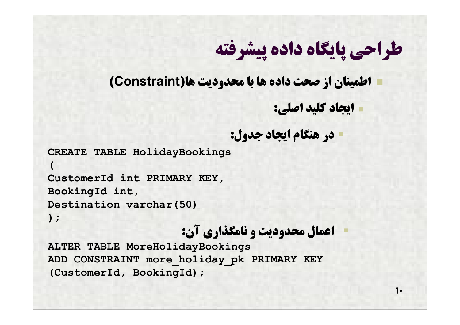**اطمینان از صحت داده ها با محدودیت ها(Constraint(**

**ایجاد کلید اصلی:**

 $\bullet$ 

```
 در هنگام ایجاد جدول:
```

```
CREATE TABLE HolidayBookings
(
CustomerId int PRIMARY KEY,
BookingId int,
Destination varchar(50)
);
```
#### **اعمال محدودیت و نامگذاري آن:**

**ALTER TABLE MoreHolidayBookings ADD CONSTRAINT more\_holiday\_pk PRIMARY KEY (CustomerId, BookingId);**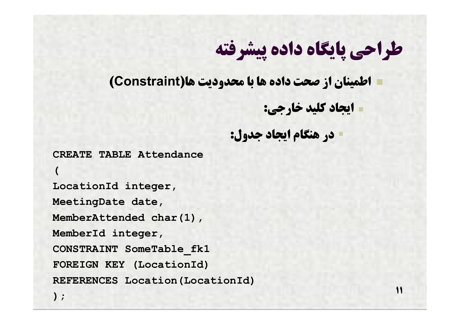**اطمینان از صحت داده ها با محدودیت ها(Constraint(**

**ایجاد کلید خارجی:**

**11**

**در هنگام ایجاد جدول:**

**CREATE TABLE Attendance**

**LocationId integer, MeetingDate date, MemberAttended char(1), MemberId integer, CONSTRAINT SomeTable\_fk1 FOREIGN KEY (LocationId) REFERENCES Location(LocationId)**

**(**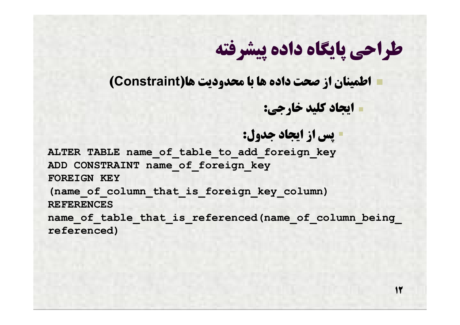**اطمینان از صحت داده ها با محدودیت ها(Constraint(**

**ایجاد کلید خارجی:**

**12**

**پس از ایجاد جدول:**

**ALTER TABLE name\_of\_table\_to\_add\_foreign\_key ADD CONSTRAINT name\_of\_foreign\_key FOREIGN KEY (name\_of\_column\_that\_is\_foreign\_key\_column) REFERENCES**  name of table that is referenced(name of column being **referenced)**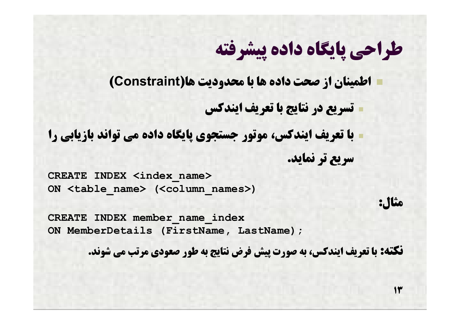**اطمینان از صحت داده ها با محدودیت ها(Constraint(**

**تسریع در نتایج با تعریف ایندکس**

 **با تعریف ایندکس، موتور جستجوي پایگاه داده می تواند بازیابی را سریع تر نماید.**

**CREATE INDEX <index\_name> ON <table\_name> (<column\_names>)**

**CREATE INDEX member\_name\_index ON MemberDetails (FirstName, LastName);**

**نکته: با تعریف ایندکس، به صورت پیش فرض نتایج به طور صعودي مرتب می شوند.**

**مثال:**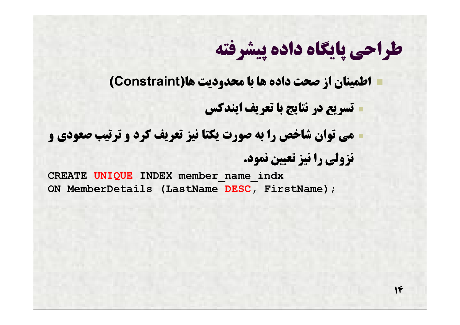**اطمینان از صحت داده ها با محدودیت ها(Constraint(**

**تسریع در نتایج با تعریف ایندکس**

 **می توان شاخص را به صورت یکتا نیز تعریف کرد و ترتیب صعودي و نزولی را نیز تعیین نمود.**

**CREATE UNIQUE INDEX member\_name\_indx ON MemberDetails (LastName DESC, FirstName);**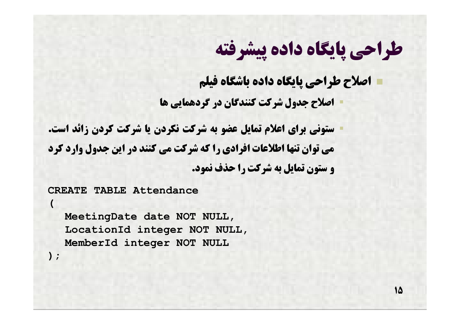**اصلاح طراحی پایگاه داده باشگاه فیلم**

**اصلاح جدول شرکت کنندگان در گردهمایی ها**

 **ستونی براي اعلام تمایل عضو به شرکت نکردن یا شرکت کردن زائد است. می توان تنها اطلاعات افرادي را که شرکت می کنند در این جدول وارد کرد و ستون تمایل به شرکت را حذف نمود.**

**CREATE TABLE Attendance**

**(**

**);**

**MeetingDate date NOT NULL, LocationId integer NOT NULL, MemberId integer NOT NULL**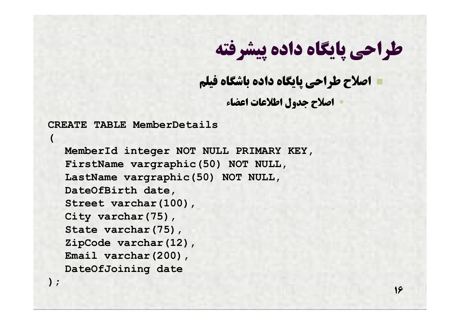**16**

#### **اصلاح طراحی پایگاه داده باشگاه فیلم**

**اصلاح جدول اطلاعات اعضاء**

**CREATE TABLE MemberDetails**

**(**

**);**

**MemberId integer NOT NULL PRIMARY KEY, FirstName vargraphic(50) NOT NULL, LastName vargraphic(50) NOT NULL, DateOfBirth date, Street varchar(100), City varchar(75), State varchar(75), ZipCode varchar(12), Email varchar(200), DateOfJoining date**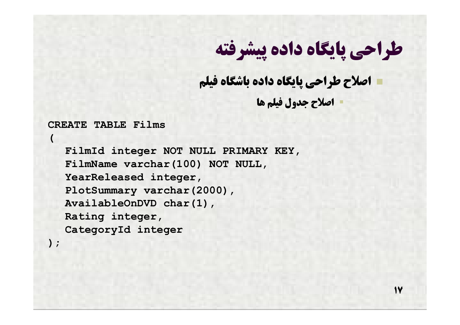#### **اصلاح طراحی پایگاه داده باشگاه فیلم**

**اصلاح جدول فیلم ها**

**17**

#### **CREATE TABLE Films**

**(**

**);**

**FilmId integer NOT NULL PRIMARY KEY, FilmName varchar(100) NOT NULL, YearReleased integer, PlotSummary varchar(2000), AvailableOnDVD char(1), Rating integer, CategoryId integer**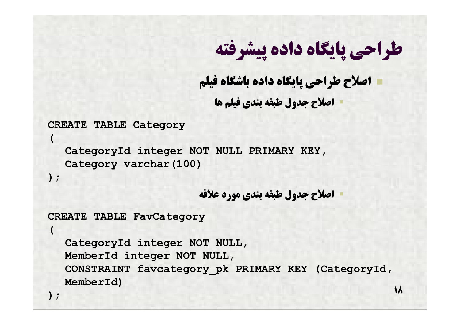**اصلاح طراحی پایگاه داده باشگاه فیلم اصلاح جدول طبقه بندي فیلم ها**

**CREATE TABLE Category**

**CategoryId integer NOT NULL PRIMARY KEY, Category varchar(100)**

**);**

**(**

**(**

**اصلاح جدول طبقه بندي مورد علاقه**

```
CREATE TABLE FavCategory
```
**CategoryId integer NOT NULL, MemberId integer NOT NULL, CONSTRAINT favcategory\_pk PRIMARY KEY (CategoryId, MemberId)**

**);**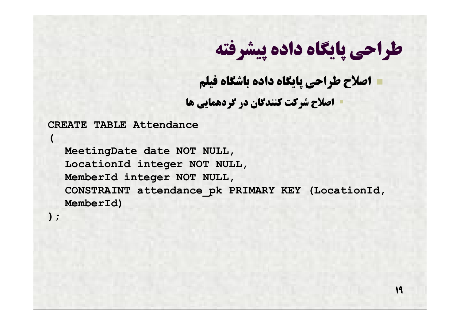**19**

**اصلاح طراحی پایگاه داده باشگاه فیلم**

**اصلاح شرکت کنندگان در گردهمایی ها**

**CREATE TABLE Attendance**

**MeetingDate date NOT NULL, LocationId integer NOT NULL, MemberId integer NOT NULL, CONSTRAINT attendance\_pk PRIMARY KEY (LocationId, MemberId)**

**);**

**(**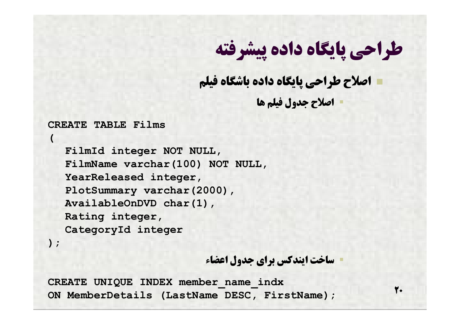**اصلاح طراحی پایگاه داده باشگاه فیلم**

**اصلاح جدول فیلم ها**

#### **CREATE TABLE Films**

**FilmId integer NOT NULL, FilmName varchar(100) NOT NULL, YearReleased integer, PlotSummary varchar(2000), AvailableOnDVD char(1), Rating integer, CategoryId integer**

**);**

**(**

**ساخت ایندکس براي جدول اعضاء**

**20**

**CREATE UNIQUE INDEX member\_name\_indx ON MemberDetails (LastName DESC, FirstName);**